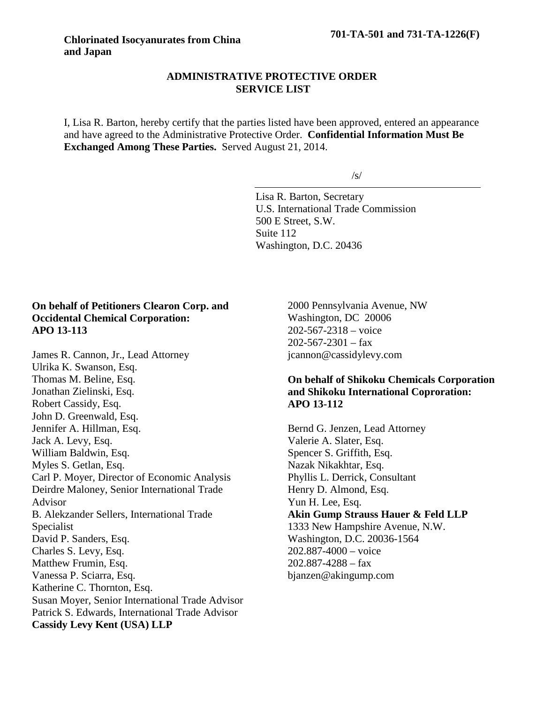### **ADMINISTRATIVE PROTECTIVE ORDER SERVICE LIST**

I, Lisa R. Barton, hereby certify that the parties listed have been approved, entered an appearance and have agreed to the Administrative Protective Order. **Confidential Information Must Be Exchanged Among These Parties.** Served August 21, 2014.

/s/

Lisa R. Barton, Secretary U.S. International Trade Commission 500 E Street, S.W. Suite 112 Washington, D.C. 20436

# **On behalf of Petitioners Clearon Corp. and Occidental Chemical Corporation: APO 13-113**

James R. Cannon, Jr., Lead Attorney Ulrika K. Swanson, Esq. Thomas M. Beline, Esq. Jonathan Zielinski, Esq. Robert Cassidy, Esq. John D. Greenwald, Esq. Jennifer A. Hillman, Esq. Jack A. Levy, Esq. William Baldwin, Esq. Myles S. Getlan, Esq. Carl P. Moyer, Director of Economic Analysis Deirdre Maloney, Senior International Trade Advisor B. Alekzander Sellers, International Trade Specialist David P. Sanders, Esq. Charles S. Levy, Esq. Matthew Frumin, Esq. Vanessa P. Sciarra, Esq. Katherine C. Thornton, Esq. Susan Moyer, Senior International Trade Advisor Patrick S. Edwards, International Trade Advisor **Cassidy Levy Kent (USA) LLP**

2000 Pennsylvania Avenue, NW Washington, DC 20006 202-567-2318 – voice  $202 - 567 - 2301 - fax$ jcannon@cassidylevy.com

# **On behalf of Shikoku Chemicals Corporation and Shikoku International Coproration: APO 13-112**

Bernd G. Jenzen, Lead Attorney Valerie A. Slater, Esq. Spencer S. Griffith, Esq. Nazak Nikakhtar, Esq. Phyllis L. Derrick, Consultant Henry D. Almond, Esq. Yun H. Lee, Esq. **Akin Gump Strauss Hauer & Feld LLP** 1333 New Hampshire Avenue, N.W. Washington, D.C. 20036-1564 202.887-4000 – voice  $202.887 - 4288 - fax$ bjanzen@akingump.com